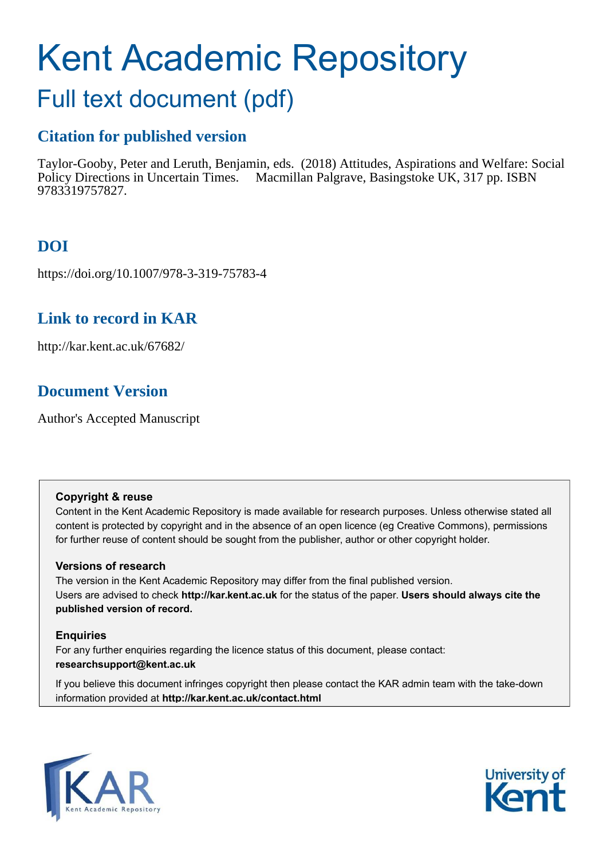# Kent Academic Repository

## Full text document (pdf)

## **Citation for published version**

Taylor-Gooby, Peter and Leruth, Benjamin, eds. (2018) Attitudes, Aspirations and Welfare: Social Policy Directions in Uncertain Times. Macmillan Palgrave, Basingstoke UK, 317 pp. ISBN 9783319757827.

## **DOI**

https://doi.org/10.1007/978-3-319-75783-4

## **Link to record in KAR**

http://kar.kent.ac.uk/67682/

## **Document Version**

Author's Accepted Manuscript

#### **Copyright & reuse**

Content in the Kent Academic Repository is made available for research purposes. Unless otherwise stated all content is protected by copyright and in the absence of an open licence (eg Creative Commons), permissions for further reuse of content should be sought from the publisher, author or other copyright holder.

#### **Versions of research**

The version in the Kent Academic Repository may differ from the final published version. Users are advised to check **http://kar.kent.ac.uk** for the status of the paper. **Users should always cite the published version of record.**

#### **Enquiries**

For any further enquiries regarding the licence status of this document, please contact: **researchsupport@kent.ac.uk**

If you believe this document infringes copyright then please contact the KAR admin team with the take-down information provided at **http://kar.kent.ac.uk/contact.html**



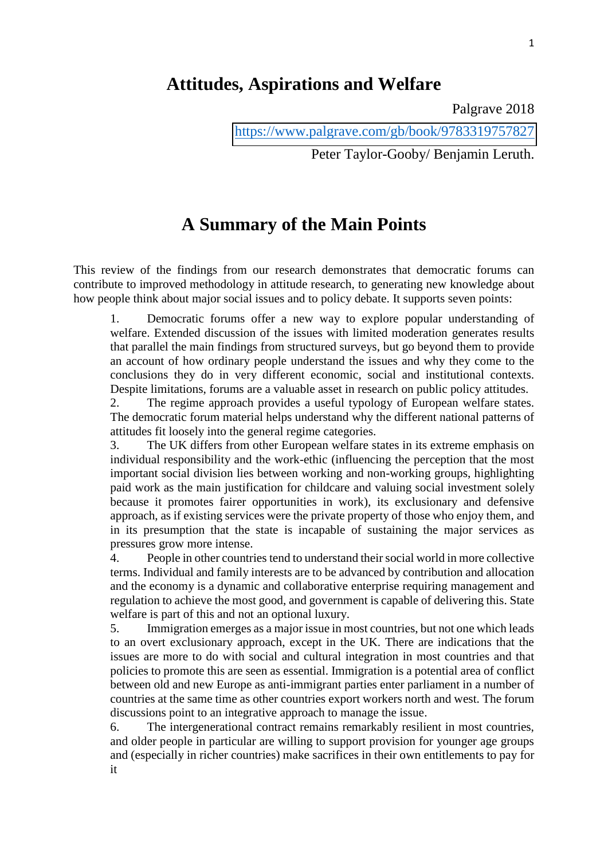### **Attitudes, Aspirations and Welfare**

Palgrave 2018

Peter Taylor-Gooby/ Benjamin Leruth.

## **A Summary of the Main Points**

This review of the findings from our research demonstrates that democratic forums can contribute to improved methodology in attitude research, to generating new knowledge about how people think about major social issues and to policy debate. It supports seven points:

1. Democratic forums offer a new way to explore popular understanding of welfare. Extended discussion of the issues with limited moderation generates results that parallel the main findings from structured surveys, but go beyond them to provide an account of how ordinary people understand the issues and why they come to the conclusions they do in very different economic, social and institutional contexts. Despite limitations, forums are a valuable asset in research on public policy attitudes.

2. The regime approach provides a useful typology of European welfare states. The democratic forum material helps understand why the different national patterns of attitudes fit loosely into the general regime categories.

3. The UK differs from other European welfare states in its extreme emphasis on individual responsibility and the work-ethic (influencing the perception that the most important social division lies between working and non-working groups, highlighting paid work as the main justification for childcare and valuing social investment solely because it promotes fairer opportunities in work), its exclusionary and defensive approach, as if existing services were the private property of those who enjoy them, and in its presumption that the state is incapable of sustaining the major services as pressures grow more intense.

4. People in other countries tend to understand their social world in more collective terms. Individual and family interests are to be advanced by contribution and allocation and the economy is a dynamic and collaborative enterprise requiring management and regulation to achieve the most good, and government is capable of delivering this. State welfare is part of this and not an optional luxury.

5. Immigration emerges as a major issue in most countries, but not one which leads to an overt exclusionary approach, except in the UK. There are indications that the issues are more to do with social and cultural integration in most countries and that policies to promote this are seen as essential. Immigration is a potential area of conflict between old and new Europe as anti-immigrant parties enter parliament in a number of countries at the same time as other countries export workers north and west. The forum discussions point to an integrative approach to manage the issue.

6. The intergenerational contract remains remarkably resilient in most countries, and older people in particular are willing to support provision for younger age groups and (especially in richer countries) make sacrifices in their own entitlements to pay for it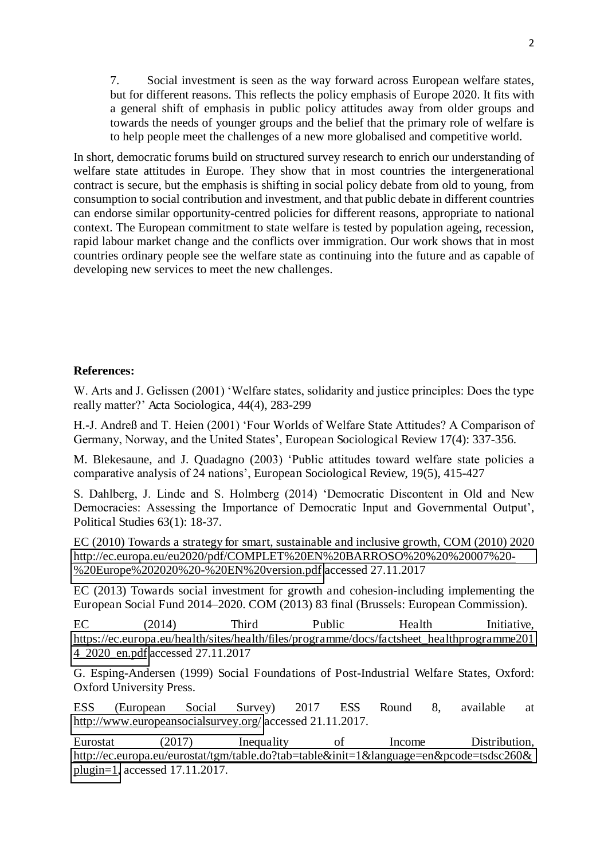7. Social investment is seen as the way forward across European welfare states, but for different reasons. This reflects the policy emphasis of Europe 2020. It fits with a general shift of emphasis in public policy attitudes away from older groups and towards the needs of younger groups and the belief that the primary role of welfare is to help people meet the challenges of a new more globalised and competitive world.

In short, democratic forums build on structured survey research to enrich our understanding of welfare state attitudes in Europe. They show that in most countries the intergenerational contract is secure, but the emphasis is shifting in social policy debate from old to young, from consumption to social contribution and investment, and that public debate in different countries can endorse similar opportunity-centred policies for different reasons, appropriate to national context. The European commitment to state welfare is tested by population ageing, recession, rapid labour market change and the conflicts over immigration. Our work shows that in most countries ordinary people see the welfare state as continuing into the future and as capable of developing new services to meet the new challenges.

#### **References:**

W. Arts and J. Gelissen (2001) 'Welfare states, solidarity and justice principles: Does the type really matter?' Acta Sociologica, 44(4), 283-299

H.-J. Andreß and T. Heien (2001) 'Four Worlds of Welfare State Attitudes? A Comparison of Germany, Norway, and the United States', European Sociological Review 17(4): 337-356.

M. Blekesaune, and J. Quadagno (2003) 'Public attitudes toward welfare state policies a comparative analysis of 24 nations', European Sociological Review, 19(5), 415-427

S. Dahlberg, J. Linde and S. Holmberg (2014) 'Democratic Discontent in Old and New Democracies: Assessing the Importance of Democratic Input and Governmental Output', Political Studies 63(1): 18-37.

EC (2010) Towards a strategy for smart, sustainable and inclusive growth, COM (2010) 2020 [http://ec.europa.eu/eu2020/pdf/COMPLET%20EN%20BARROSO%20%20%20007%20-](http://ec.europa.eu/eu2020/pdf/COMPLET%20EN%20BARROSO%20%20%20007%20-%20Europe%202020%20-%20EN%20version.pdf) [%20Europe%202020%20-%20EN%20version.pdf](http://ec.europa.eu/eu2020/pdf/COMPLET%20EN%20BARROSO%20%20%20007%20-%20Europe%202020%20-%20EN%20version.pdf) accessed 27.11.2017

EC (2013) Towards social investment for growth and cohesion-including implementing the European Social Fund 2014*–*2020. COM (2013) 83 final (Brussels: European Commission).

EC (2014) Third Public Health Initiative, [https://ec.europa.eu/health/sites/health/files/programme/docs/factsheet\\_healthprogramme201](https://ec.europa.eu/health/sites/health/files/programme/docs/factsheet_healthprogramme2014_2020_en.pdf) [4\\_2020\\_en.pdf](https://ec.europa.eu/health/sites/health/files/programme/docs/factsheet_healthprogramme2014_2020_en.pdf) accessed 27.11.2017

G. Esping-Andersen (1999) Social Foundations of Post-Industrial Welfare States, Oxford: Oxford University Press.

ESS (European Social Survey) 2017 ESS Round 8, available at <http://www.europeansocialsurvey.org/>accessed 21.11.2017.

Eurostat (2017) Inequality of Income Distribution, [http://ec.europa.eu/eurostat/tgm/table.do?tab=table&init=1&language=en&pcode=tsdsc260&](http://ec.europa.eu/eurostat/tgm/table.do?tab=table&init=1&language=en&pcode=tsdsc260&plugin=1) [plugin=1,](http://ec.europa.eu/eurostat/tgm/table.do?tab=table&init=1&language=en&pcode=tsdsc260&plugin=1) accessed 17.11.2017.